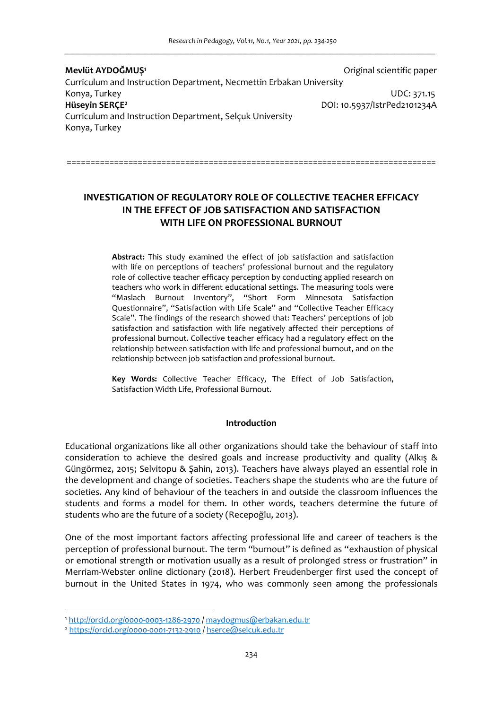| Mevlüt AYDOĞMUŞ <sup>1</sup>                                              | Original scientific paper    |
|---------------------------------------------------------------------------|------------------------------|
| Curriculum and Instruction Department, Necmettin Erbakan University       |                              |
| Konya, Turkey                                                             | UDC: 371.15                  |
| Hüseyin SERCE <sup>2</sup>                                                | DOI: 10.5937/IstrPed2101234A |
| Curriculum and Instruction Department, Selcuk University<br>Konya, Turkey |                              |
|                                                                           |                              |

# **INVESTIGATION OF REGULATORY ROLE OF COLLECTIVE TEACHER EFFICACY IN THE EFFECT OF JOB SATISFACTION AND SATISFACTION WITH LIFE ON PROFESSIONAL BURNOUT**

==============================================================================

**Abstract:** This study examined the effect of job satisfaction and satisfaction with life on perceptions of teachers' professional burnout and the regulatory role of collective teacher efficacy perception by conducting applied research on teachers who work in different educational settings. The measuring tools were "Maslach Burnout Inventory", "Short Form Minnesota Satisfaction Questionnaire", "Satisfaction with Life Scale" and "Collective Teacher Efficacy Scale". The findings of the research showed that: Teachers' perceptions of job satisfaction and satisfaction with life negatively affected their perceptions of professional burnout. Collective teacher efficacy had a regulatory effect on the relationship between satisfaction with life and professional burnout, and on the relationship between job satisfaction and professional burnout.

**Key Words:** Collective Teacher Efficacy, The Effect of Job Satisfaction, Satisfaction Width Life, Professional Burnout.

# **Introduction**

Educational organizations like all other organizations should take the behaviour of staff into consideration to achieve the desired goals and increase productivity and quality (Alkış & Güngörmez, 2015; Selvitopu & Şahin, 2013). Teachers have always played an essential role in the development and change of societies. Teachers shape the students who are the future of societies. Any kind of behaviour of the teachers in and outside the classroom influences the students and forms a model for them. In other words, teachers determine the future of students who are the future of a society (Recepoğlu, 2013).

One of the most important factors affecting professional life and career of teachers is the perception of professional burnout. The term "burnout" is defined as "exhaustion of physical or emotional strength or motivation usually as a result of prolonged stress or frustration" in Merriam-Webster online dictionary (2018). Herbert Freudenberger first used the concept of burnout in the United States in 1974, who was commonly seen among the professionals

<sup>1</sup> http://orcid.org/0000-0003-1286-2970 / maydogmus@erbakan.edu.tr

<sup>2</sup> https://orcid.org/0000-0001-7132-2910 / hserce@selcuk.edu.tr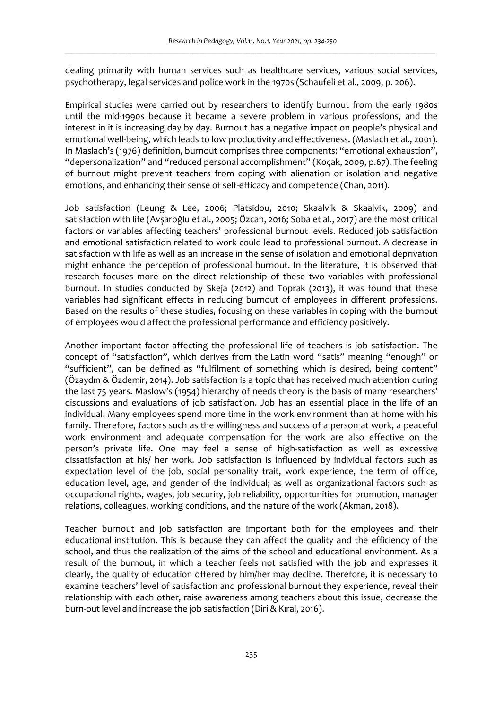dealing primarily with human services such as healthcare services, various social services, psychotherapy, legal services and police work in the 1970s (Schaufeli et al., 2009, p. 206).

Empirical studies were carried out by researchers to identify burnout from the early 1980s until the mid-1990s because it became a severe problem in various professions, and the interest in it is increasing day by day. Burnout has a negative impact on people's physical and emotional well-being, which leads to low productivity and effectiveness. (Maslach et al., 2001). In Maslach's (1976) definition, burnout comprises three components: "emotional exhaustion", "depersonalization" and "reduced personal accomplishment" (Koçak, 2009, p.67). The feeling of burnout might prevent teachers from coping with alienation or isolation and negative emotions, and enhancing their sense of self-efficacy and competence (Chan, 2011).

Job satisfaction (Leung & Lee, 2006; Platsidou, 2010; Skaalvik & Skaalvik, 2009) and satisfaction with life (Avşaroğlu et al., 2005; Özcan, 2016; Soba et al., 2017) are the most critical factors or variables affecting teachers' professional burnout levels. Reduced job satisfaction and emotional satisfaction related to work could lead to professional burnout. A decrease in satisfaction with life as well as an increase in the sense of isolation and emotional deprivation might enhance the perception of professional burnout. In the literature, it is observed that research focuses more on the direct relationship of these two variables with professional burnout. In studies conducted by Skeja (2012) and Toprak (2013), it was found that these variables had significant effects in reducing burnout of employees in different professions. Based on the results of these studies, focusing on these variables in coping with the burnout of employees would affect the professional performance and efficiency positively.

Another important factor affecting the professional life of teachers is job satisfaction. The concept of "satisfaction", which derives from the Latin word "satis" meaning "enough" or "sufficient", can be defined as "fulfilment of something which is desired, being content" (Özaydın & Özdemir, 2014). Job satisfaction is a topic that has received much attention during the last 75 years. Maslow's (1954) hierarchy of needs theory is the basis of many researchers' discussions and evaluations of job satisfaction. Job has an essential place in the life of an individual. Many employees spend more time in the work environment than at home with his family. Therefore, factors such as the willingness and success of a person at work, a peaceful work environment and adequate compensation for the work are also effective on the person's private life. One may feel a sense of high-satisfaction as well as excessive dissatisfaction at his/ her work. Job satisfaction is influenced by individual factors such as expectation level of the job, social personality trait, work experience, the term of office, education level, age, and gender of the individual; as well as organizational factors such as occupational rights, wages, job security, job reliability, opportunities for promotion, manager relations, colleagues, working conditions, and the nature of the work (Akman, 2018).

Teacher burnout and job satisfaction are important both for the employees and their educational institution. This is because they can affect the quality and the efficiency of the school, and thus the realization of the aims of the school and educational environment. As a result of the burnout, in which a teacher feels not satisfied with the job and expresses it clearly, the quality of education offered by him/her may decline. Therefore, it is necessary to examine teachers' level of satisfaction and professional burnout they experience, reveal their relationship with each other, raise awareness among teachers about this issue, decrease the burn-out level and increase the job satisfaction (Diri & Kıral, 2016).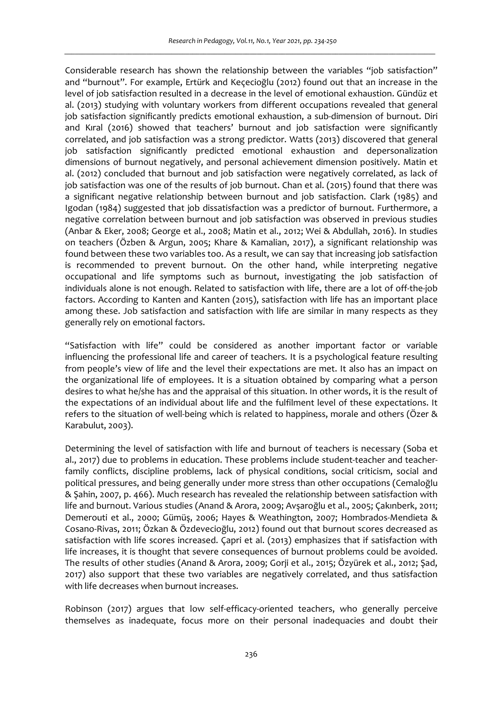Considerable research has shown the relationship between the variables "job satisfaction" and "burnout". For example, Ertürk and Keçecioğlu (2012) found out that an increase in the level of job satisfaction resulted in a decrease in the level of emotional exhaustion. Gündüz et al. (2013) studying with voluntary workers from different occupations revealed that general job satisfaction significantly predicts emotional exhaustion, a sub-dimension of burnout. Diri and Kıral (2016) showed that teachers' burnout and job satisfaction were significantly correlated, and job satisfaction was a strong predictor. Watts (2013) discovered that general job satisfaction significantly predicted emotional exhaustion and depersonalization dimensions of burnout negatively, and personal achievement dimension positively. Matin et al. (2012) concluded that burnout and job satisfaction were negatively correlated, as lack of job satisfaction was one of the results of job burnout. Chan et al. (2015) found that there was a significant negative relationship between burnout and job satisfaction. Clark (1985) and Igodan (1984) suggested that job dissatisfaction was a predictor of burnout. Furthermore, a negative correlation between burnout and job satisfaction was observed in previous studies (Anbar & Eker, 2008; George et al., 2008; Matin et al., 2012; Wei & Abdullah, 2016). In studies on teachers (Özben & Argun, 2005; Khare & Kamalian, 2017), a significant relationship was found between these two variables too. As a result, we can say that increasing job satisfaction is recommended to prevent burnout. On the other hand, while interpreting negative occupational and life symptoms such as burnout, investigating the job satisfaction of individuals alone is not enough. Related to satisfaction with life, there are a lot of off-the-job factors. According to Kanten and Kanten (2015), satisfaction with life has an important place among these. Job satisfaction and satisfaction with life are similar in many respects as they generally rely on emotional factors.

"Satisfaction with life" could be considered as another important factor or variable influencing the professional life and career of teachers. It is a psychological feature resulting from people's view of life and the level their expectations are met. It also has an impact on the organizational life of employees. It is a situation obtained by comparing what a person desires to what he/she has and the appraisal of this situation. In other words, it is the result of the expectations of an individual about life and the fulfilment level of these expectations. It refers to the situation of well-being which is related to happiness, morale and others (Özer & Karabulut, 2003).

Determining the level of satisfaction with life and burnout of teachers is necessary (Soba et al., 2017) due to problems in education. These problems include student-teacher and teacherfamily conflicts, discipline problems, lack of physical conditions, social criticism, social and political pressures, and being generally under more stress than other occupations (Cemaloğlu & Şahin, 2007, p. 466). Much research has revealed the relationship between satisfaction with life and burnout. Various studies (Anand & Arora, 2009; Avşaroğlu et al., 2005; Çakınberk, 2011; Demerouti et al., 2000; Gümüş, 2006; Hayes & Weathington, 2007; Hombrados-Mendieta & Cosano-Rivas, 2011; Özkan & Özdevecioğlu, 2012) found out that burnout scores decreased as satisfaction with life scores increased. Çapri et al. (2013) emphasizes that if satisfaction with life increases, it is thought that severe consequences of burnout problems could be avoided. The results of other studies (Anand & Arora, 2009; Gorji et al., 2015; Özyürek et al., 2012; Şad, 2017) also support that these two variables are negatively correlated, and thus satisfaction with life decreases when burnout increases.

Robinson (2017) argues that low self-efficacy-oriented teachers, who generally perceive themselves as inadequate, focus more on their personal inadequacies and doubt their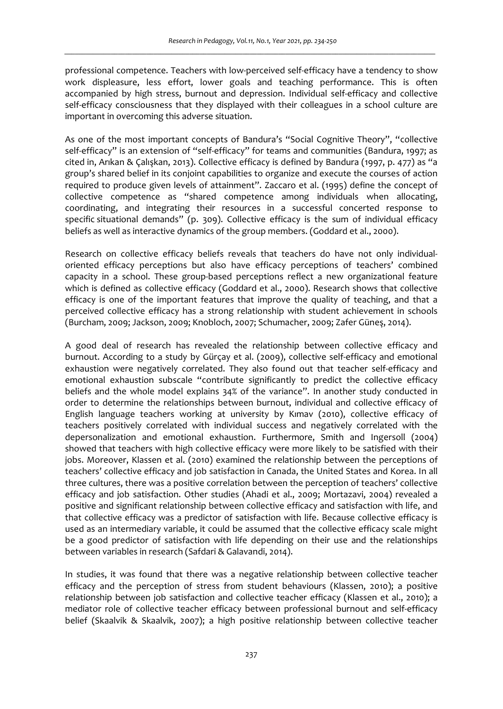professional competence. Teachers with low-perceived self-efficacy have a tendency to show work displeasure, less effort, lower goals and teaching performance. This is often accompanied by high stress, burnout and depression. Individual self-efficacy and collective self-efficacy consciousness that they displayed with their colleagues in a school culture are important in overcoming this adverse situation.

As one of the most important concepts of Bandura's "Social Cognitive Theory", "collective self-efficacy" is an extension of "self-efficacy" for teams and communities (Bandura, 1997; as cited in, Arıkan & Çalışkan, 2013). Collective efficacy is defined by Bandura (1997, p. 477) as "a group's shared belief in its conjoint capabilities to organize and execute the courses of action required to produce given levels of attainment". Zaccaro et al. (1995) define the concept of collective competence as "shared competence among individuals when allocating, coordinating, and integrating their resources in a successful concerted response to specific situational demands" (p. 309). Collective efficacy is the sum of individual efficacy beliefs as well as interactive dynamics of the group members. (Goddard et al., 2000).

Research on collective efficacy beliefs reveals that teachers do have not only individualoriented efficacy perceptions but also have efficacy perceptions of teachers' combined capacity in a school. These group-based perceptions reflect a new organizational feature which is defined as collective efficacy (Goddard et al., 2000). Research shows that collective efficacy is one of the important features that improve the quality of teaching, and that a perceived collective efficacy has a strong relationship with student achievement in schools (Burcham, 2009; Jackson, 2009; Knobloch, 2007; Schumacher, 2009; Zafer Güneş, 2014).

A good deal of research has revealed the relationship between collective efficacy and burnout. According to a study by Gürçay et al. (2009), collective self-efficacy and emotional exhaustion were negatively correlated. They also found out that teacher self-efficacy and emotional exhaustion subscale "contribute significantly to predict the collective efficacy beliefs and the whole model explains 34% of the variance". In another study conducted in order to determine the relationships between burnout, individual and collective efficacy of English language teachers working at university by Kımav (2010), collective efficacy of teachers positively correlated with individual success and negatively correlated with the depersonalization and emotional exhaustion. Furthermore, Smith and Ingersoll (2004) showed that teachers with high collective efficacy were more likely to be satisfied with their jobs. Moreover, Klassen et al. (2010) examined the relationship between the perceptions of teachers' collective efficacy and job satisfaction in Canada, the United States and Korea. In all three cultures, there was a positive correlation between the perception of teachers' collective efficacy and job satisfaction. Other studies (Ahadi et al., 2009; Mortazavi, 2004) revealed a positive and significant relationship between collective efficacy and satisfaction with life, and that collective efficacy was a predictor of satisfaction with life. Because collective efficacy is used as an intermediary variable, it could be assumed that the collective efficacy scale might be a good predictor of satisfaction with life depending on their use and the relationships between variables in research (Safdari & Galavandi, 2014).

In studies, it was found that there was a negative relationship between collective teacher efficacy and the perception of stress from student behaviours (Klassen, 2010); a positive relationship between job satisfaction and collective teacher efficacy (Klassen et al., 2010); a mediator role of collective teacher efficacy between professional burnout and self-efficacy belief (Skaalvik & Skaalvik, 2007); a high positive relationship between collective teacher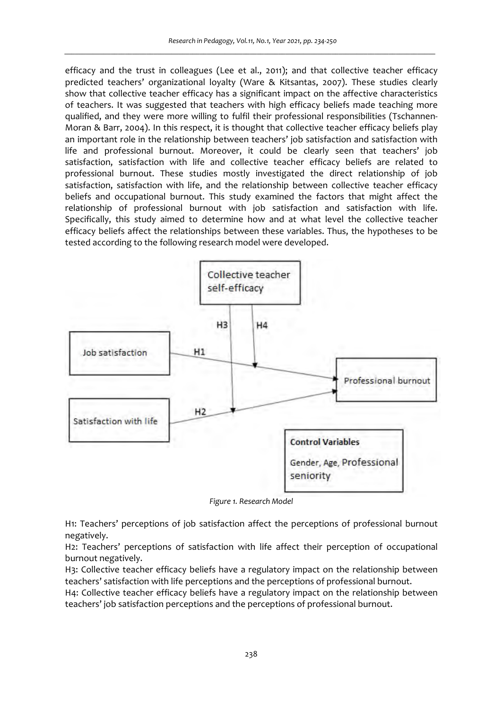efficacy and the trust in colleagues (Lee et al., 2011); and that collective teacher efficacy predicted teachers' organizational loyalty (Ware & Kitsantas, 2007). These studies clearly show that collective teacher efficacy has a significant impact on the affective characteristics of teachers. It was suggested that teachers with high efficacy beliefs made teaching more qualified, and they were more willing to fulfil their professional responsibilities (Tschannen-Moran & Barr, 2004). In this respect, it is thought that collective teacher efficacy beliefs play an important role in the relationship between teachers' job satisfaction and satisfaction with life and professional burnout. Moreover, it could be clearly seen that teachers' job satisfaction, satisfaction with life and collective teacher efficacy beliefs are related to professional burnout. These studies mostly investigated the direct relationship of job satisfaction, satisfaction with life, and the relationship between collective teacher efficacy beliefs and occupational burnout. This study examined the factors that might affect the relationship of professional burnout with job satisfaction and satisfaction with life. Specifically, this study aimed to determine how and at what level the collective teacher efficacy beliefs affect the relationships between these variables. Thus, the hypotheses to be tested according to the following research model were developed.



*Figure 1. Research Model* 

H1: Teachers' perceptions of job satisfaction affect the perceptions of professional burnout negatively.

H2: Teachers' perceptions of satisfaction with life affect their perception of occupational burnout negatively.

H3: Collective teacher efficacy beliefs have a regulatory impact on the relationship between teachers' satisfaction with life perceptions and the perceptions of professional burnout.

H4: Collective teacher efficacy beliefs have a regulatory impact on the relationship between teachers' job satisfaction perceptions and the perceptions of professional burnout.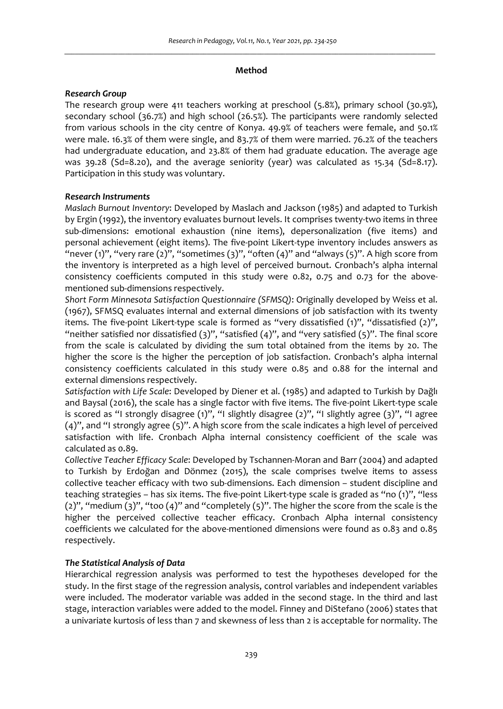### **Method**

## *Research Group*

The research group were 411 teachers working at preschool (5.8%), primary school (30.9%), secondary school (36.7%) and high school (26.5%). The participants were randomly selected from various schools in the city centre of Konya. 49.9% of teachers were female, and 50.1% were male. 16.3% of them were single, and 83.7% of them were married. 76.2% of the teachers had undergraduate education, and 23.8% of them had graduate education. The average age was 39.28 (Sd=8.20), and the average seniority (year) was calculated as 15.34 (Sd=8.17). Participation in this study was voluntary.

# *Research Instruments*

*Maslach Burnout Inventory*: Developed by Maslach and Jackson (1985) and adapted to Turkish by Ergin (1992), the inventory evaluates burnout levels. It comprises twenty-two items in three sub-dimensions: emotional exhaustion (nine items), depersonalization (five items) and personal achievement (eight items). The five-point Likert-type inventory includes answers as "never (1)", "very rare (2)", "sometimes (3)", "often (4)" and "always (5)". A high score from the inventory is interpreted as a high level of perceived burnout. Cronbach's alpha internal consistency coefficients computed in this study were 0.82, 0.75 and 0.73 for the abovementioned sub-dimensions respectively.

*Short Form Minnesota Satisfaction Questionnaire (SFMSQ)*: Originally developed by Weiss et al. (1967), SFMSQ evaluates internal and external dimensions of job satisfaction with its twenty items. The five-point Likert-type scale is formed as "very dissatisfied (1)", "dissatisfied (2)", "neither satisfied nor dissatisfied  $(3)$ ", "satisfied  $(4)$ ", and "very satisfied  $(5)$ ". The final score from the scale is calculated by dividing the sum total obtained from the items by 20. The higher the score is the higher the perception of job satisfaction. Cronbach's alpha internal consistency coefficients calculated in this study were 0.85 and 0.88 for the internal and external dimensions respectively.

*Satisfaction with Life Scale*: Developed by Diener et al. (1985) and adapted to Turkish by Dağlı and Baysal (2016), the scale has a single factor with five items. The five-point Likert-type scale is scored as "I strongly disagree  $(1)$ ", "I slightly disagree  $(2)$ ", "I slightly agree  $(3)$ ", "I agree (4)", and "I strongly agree (5)". A high score from the scale indicates a high level of perceived satisfaction with life. Cronbach Alpha internal consistency coefficient of the scale was calculated as 0.89.

*Collective Teacher Efficacy Scale*: Developed by Tschannen-Moran and Barr (2004) and adapted to Turkish by Erdoğan and Dönmez (2015), the scale comprises twelve items to assess collective teacher efficacy with two sub-dimensions. Each dimension – student discipline and teaching strategies – has six items. The five-point Likert-type scale is graded as "no (1)", "less  $(2)$ ", "medium  $(3)$ ", "too  $(4)$ " and "completely  $(5)$ ". The higher the score from the scale is the higher the perceived collective teacher efficacy. Cronbach Alpha internal consistency coefficients we calculated for the above-mentioned dimensions were found as 0.83 and 0.85 respectively.

# *The Statistical Analysis of Data*

Hierarchical regression analysis was performed to test the hypotheses developed for the study. In the first stage of the regression analysis, control variables and independent variables were included. The moderator variable was added in the second stage. In the third and last stage, interaction variables were added to the model. Finney and DiStefano (2006) states that a univariate kurtosis of less than 7 and skewness of less than 2 is acceptable for normality. The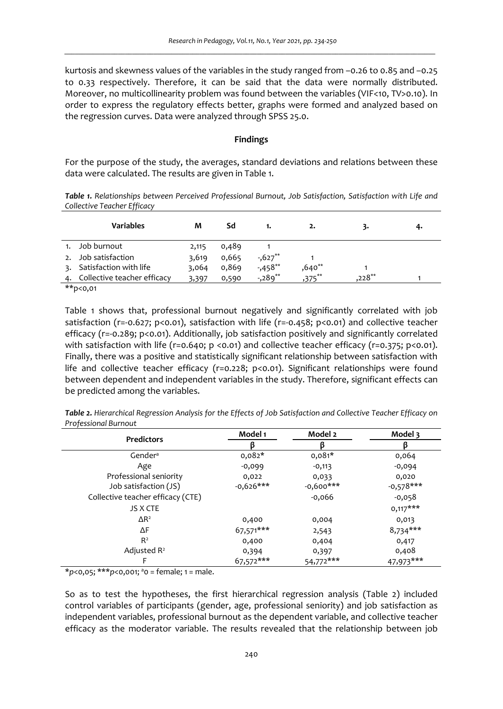kurtosis and skewness values of the variables in the study ranged from –0.26 to 0.85 and –0.25 to 0.33 respectively. Therefore, it can be said that the data were normally distributed. Moreover, no multicollinearity problem was found between the variables (VIF<10, TV>0.10). In order to express the regulatory effects better, graphs were formed and analyzed based on the regression curves. Data were analyzed through SPSS 25.0.

### **Findings**

For the purpose of the study, the averages, standard deviations and relations between these data were calculated. The results are given in Table 1.

*Table 1. Relationships between Perceived Professional Burnout, Job Satisfaction, Satisfaction with Life and Collective Teacher Efficacy* 

|    | <b>Variables</b>            | м     | Sd    |          | 2.       | ٦.        | 4. |
|----|-----------------------------|-------|-------|----------|----------|-----------|----|
|    | Job burnout                 | 2,115 | 0,489 |          |          |           |    |
|    | Job satisfaction            | 3,619 | 0,665 | $-627**$ |          |           |    |
| 3. | Satisfaction with life      | 3.064 | 0,869 | $-458**$ | $,640**$ |           |    |
|    | Collective teacher efficacy | 3,397 | 0,590 | $-289**$ | $275***$ | $.228***$ |    |
|    | station of the state of the |       |       |          |          |           |    |

\*\*p<0,01

Table 1 shows that, professional burnout negatively and significantly correlated with job satisfaction (r=-0.627; p<0.01), satisfaction with life (r=-0.458; p<0.01) and collective teacher efficacy (r=-0.289; p<0.01). Additionally, job satisfaction positively and significantly correlated with satisfaction with life (r=0.640; p <0.01) and collective teacher efficacy (r=0.375; p<0.01). Finally, there was a positive and statistically significant relationship between satisfaction with life and collective teacher efficacy (r=0.228; p<0.01). Significant relationships were found between dependent and independent variables in the study. Therefore, significant effects can be predicted among the variables.

*Table 2. Hierarchical Regression Analysis for the Effects of Job Satisfaction and Collective Teacher Efficacy on Professional Burnout* 

| <b>Predictors</b>                 | Model 1     | Model 2     | Model 3     |
|-----------------------------------|-------------|-------------|-------------|
|                                   |             |             |             |
| Gender <sup>a</sup>               | $0,082*$    | $0,081*$    | 0,064       |
| Age                               | $-0,099$    | $-0,113$    | $-0,094$    |
| Professional seniority            | 0,022       | 0,033       | 0,020       |
| Job satisfaction (JS)             | $-0,626***$ | $-0,600***$ | $-0,578***$ |
| Collective teacher efficacy (CTE) |             | $-0,066$    | $-0,058$    |
| <b>JS X CTE</b>                   |             |             | $0,117***$  |
| $\Delta$ R <sup>2</sup>           | 0,400       | 0,004       | 0,013       |
| ΔF                                | 67,571***   | 2,543       | $8,734***$  |
| R <sup>2</sup>                    | 0,400       | 0,404       | 0,417       |
| Adjusted R <sup>2</sup>           | 0,394       | 0,397       | 0,408       |
|                                   | 67,572***   | $54,772***$ | $47.973***$ |

\**p*<0,05; \*\*\**p*<0,001; <sup>a</sup>0 = female; 1 = male.

So as to test the hypotheses, the first hierarchical regression analysis (Table 2) included control variables of participants (gender, age, professional seniority) and job satisfaction as independent variables, professional burnout as the dependent variable, and collective teacher efficacy as the moderator variable. The results revealed that the relationship between job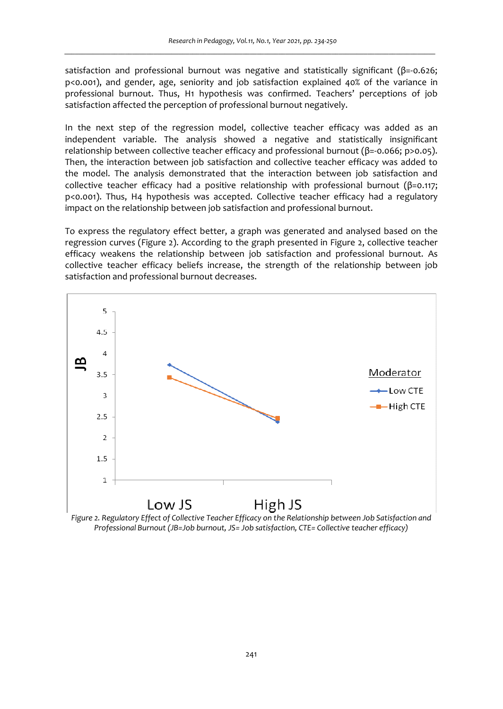satisfaction and professional burnout was negative and statistically significant (β=-0.626; p<0.001), and gender, age, seniority and job satisfaction explained 40% of the variance in professional burnout. Thus, H1 hypothesis was confirmed. Teachers' perceptions of job satisfaction affected the perception of professional burnout negatively.

In the next step of the regression model, collective teacher efficacy was added as an independent variable. The analysis showed a negative and statistically insignificant relationship between collective teacher efficacy and professional burnout (β=-0.066; p>0.05). Then, the interaction between job satisfaction and collective teacher efficacy was added to the model. The analysis demonstrated that the interaction between job satisfaction and collective teacher efficacy had a positive relationship with professional burnout (β=0.117; p<0.001). Thus, H4 hypothesis was accepted. Collective teacher efficacy had a regulatory impact on the relationship between job satisfaction and professional burnout.

To express the regulatory effect better, a graph was generated and analysed based on the regression curves (Figure 2). According to the graph presented in Figure 2, collective teacher efficacy weakens the relationship between job satisfaction and professional burnout. As collective teacher efficacy beliefs increase, the strength of the relationship between job satisfaction and professional burnout decreases.



*Figure 2. Regulatory Effect of Collective Teacher Efficacy on the Relationship between Job Satisfaction and Professional Burnout (JB=Job burnout, JS= Job satisfaction, CTE= Collective teacher efficacy)*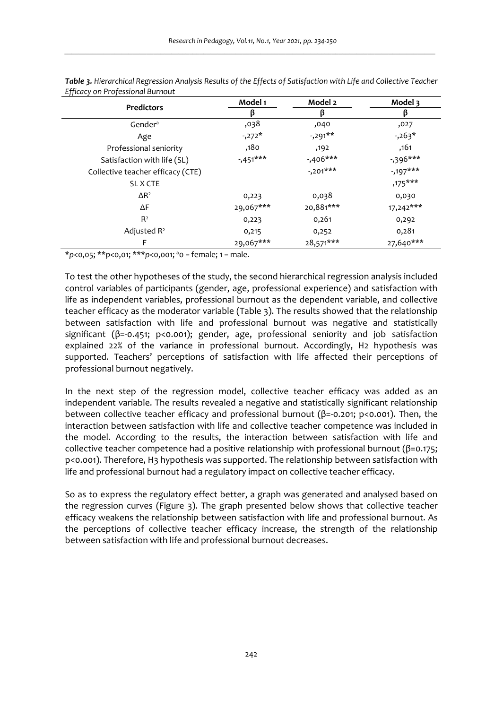| <b>Predictors</b>                 | Model 1     | Model 2     | Model 3     |
|-----------------------------------|-------------|-------------|-------------|
|                                   | ß           | ß           | β           |
| Gender <sup>a</sup>               | ,038        | ,040        | ,027        |
| Age                               | $-272*$     | $-291**$    | $-263*$     |
| Professional seniority            | ,180        | ,192        | ,161        |
| Satisfaction with life (SL)       | $-1.451***$ | $-0.406***$ | -,396***    |
| Collective teacher efficacy (CTE) |             | $-201***$   | $-197***$   |
| SL X CTE                          |             |             | $,175***$   |
| $\Delta$ R <sup>2</sup>           | 0,223       | 0,038       | 0,030       |
| ΔF                                | 29,067***   | 20,881***   | $17,242***$ |
| R <sup>2</sup>                    | 0,223       | 0,261       | 0,292       |
| Adjusted $R^2$                    | 0,215       | 0,252       | 0,281       |
| F                                 | 29,067***   | $28,571***$ | 27,640***   |

*Table 3. Hierarchical Regression Analysis Results of the Effects of Satisfaction with Life and Collective Teacher Efficacy on Professional Burnout* 

\**p*<0,05; \*\**p*<0,01; \*\*\**p*<0,001; <sup>a</sup>0 = female; 1 = male.

To test the other hypotheses of the study, the second hierarchical regression analysis included control variables of participants (gender, age, professional experience) and satisfaction with life as independent variables, professional burnout as the dependent variable, and collective teacher efficacy as the moderator variable (Table 3). The results showed that the relationship between satisfaction with life and professional burnout was negative and statistically significant (β=-0.451; p<0.001); gender, age, professional seniority and job satisfaction explained 22% of the variance in professional burnout. Accordingly, H2 hypothesis was supported. Teachers' perceptions of satisfaction with life affected their perceptions of professional burnout negatively.

In the next step of the regression model, collective teacher efficacy was added as an independent variable. The results revealed a negative and statistically significant relationship between collective teacher efficacy and professional burnout ( $\beta$ =-0.201; p<0.001). Then, the interaction between satisfaction with life and collective teacher competence was included in the model. According to the results, the interaction between satisfaction with life and collective teacher competence had a positive relationship with professional burnout (β=0.175; p<0.001). Therefore, H3 hypothesis was supported. The relationship between satisfaction with life and professional burnout had a regulatory impact on collective teacher efficacy.

So as to express the regulatory effect better, a graph was generated and analysed based on the regression curves (Figure 3). The graph presented below shows that collective teacher efficacy weakens the relationship between satisfaction with life and professional burnout. As the perceptions of collective teacher efficacy increase, the strength of the relationship between satisfaction with life and professional burnout decreases.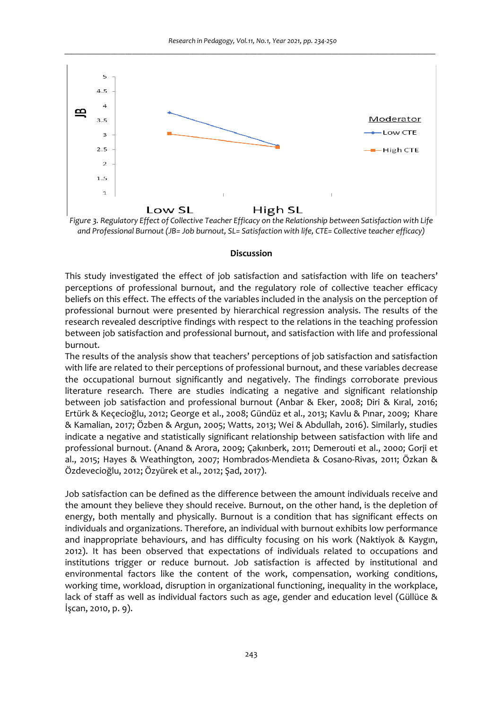

*Figure 3. Regulatory Effect of Collective Teacher Efficacy on the Relationship between Satisfaction with Life and Professional Burnout (JB= Job burnout, SL= Satisfaction with life, CTE= Collective teacher efficacy)* 

### **Discussion**

This study investigated the effect of job satisfaction and satisfaction with life on teachers' perceptions of professional burnout, and the regulatory role of collective teacher efficacy beliefs on this effect. The effects of the variables included in the analysis on the perception of professional burnout were presented by hierarchical regression analysis. The results of the research revealed descriptive findings with respect to the relations in the teaching profession between job satisfaction and professional burnout, and satisfaction with life and professional burnout.

The results of the analysis show that teachers' perceptions of job satisfaction and satisfaction with life are related to their perceptions of professional burnout, and these variables decrease the occupational burnout significantly and negatively. The findings corroborate previous literature research. There are studies indicating a negative and significant relationship between job satisfaction and professional burnout (Anbar & Eker, 2008; Diri & Kıral, 2016; Ertürk & Keçecioğlu, 2012; George et al., 2008; Gündüz et al., 2013; Kavlu & Pınar, 2009; Khare & Kamalian, 2017; Özben & Argun, 2005; Watts, 2013; Wei & Abdullah, 2016). Similarly, studies indicate a negative and statistically significant relationship between satisfaction with life and professional burnout. (Anand & Arora, 2009; Çakınberk, 2011; Demerouti et al., 2000; Gorji et al., 2015; Hayes & Weathington, 2007; Hombrados-Mendieta & Cosano-Rivas, 2011; Özkan & Özdevecioğlu, 2012; Özyürek et al., 2012; Şad, 2017).

Job satisfaction can be defined as the difference between the amount individuals receive and the amount they believe they should receive. Burnout, on the other hand, is the depletion of energy, both mentally and physically. Burnout is a condition that has significant effects on individuals and organizations. Therefore, an individual with burnout exhibits low performance and inappropriate behaviours, and has difficulty focusing on his work (Naktiyok & Kaygın, 2012). It has been observed that expectations of individuals related to occupations and institutions trigger or reduce burnout. Job satisfaction is affected by institutional and environmental factors like the content of the work, compensation, working conditions, working time, workload, disruption in organizational functioning, inequality in the workplace, lack of staff as well as individual factors such as age, gender and education level (Güllüce & İşcan, 2010, p. 9).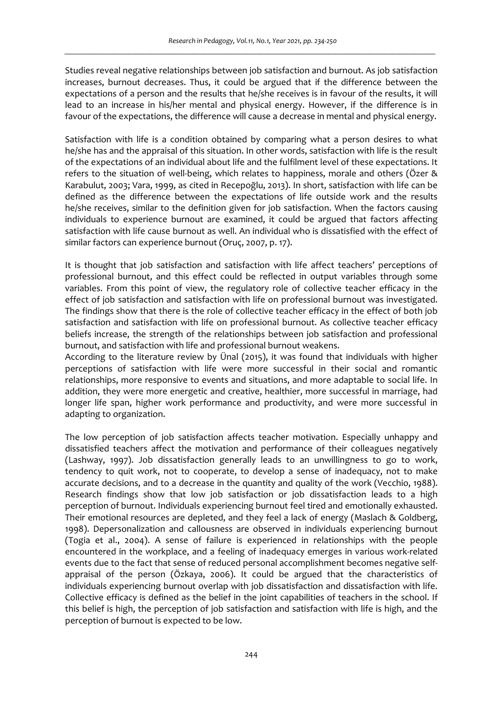Studies reveal negative relationships between job satisfaction and burnout. As job satisfaction increases, burnout decreases. Thus, it could be argued that if the difference between the expectations of a person and the results that he/she receives is in favour of the results, it will lead to an increase in his/her mental and physical energy. However, if the difference is in favour of the expectations, the difference will cause a decrease in mental and physical energy.

Satisfaction with life is a condition obtained by comparing what a person desires to what he/she has and the appraisal of this situation. In other words, satisfaction with life is the result of the expectations of an individual about life and the fulfilment level of these expectations. It refers to the situation of well-being, which relates to happiness, morale and others (Özer & Karabulut, 2003; Vara, 1999, as cited in Recepoğlu, 2013). In short, satisfaction with life can be defined as the difference between the expectations of life outside work and the results he/she receives, similar to the definition given for job satisfaction. When the factors causing individuals to experience burnout are examined, it could be argued that factors affecting satisfaction with life cause burnout as well. An individual who is dissatisfied with the effect of similar factors can experience burnout (Oruç, 2007, p. 17).

It is thought that job satisfaction and satisfaction with life affect teachers' perceptions of professional burnout, and this effect could be reflected in output variables through some variables. From this point of view, the regulatory role of collective teacher efficacy in the effect of job satisfaction and satisfaction with life on professional burnout was investigated. The findings show that there is the role of collective teacher efficacy in the effect of both job satisfaction and satisfaction with life on professional burnout. As collective teacher efficacy beliefs increase, the strength of the relationships between job satisfaction and professional burnout, and satisfaction with life and professional burnout weakens.

According to the literature review by Ünal (2015), it was found that individuals with higher perceptions of satisfaction with life were more successful in their social and romantic relationships, more responsive to events and situations, and more adaptable to social life. In addition, they were more energetic and creative, healthier, more successful in marriage, had longer life span, higher work performance and productivity, and were more successful in adapting to organization.

The low perception of job satisfaction affects teacher motivation. Especially unhappy and dissatisfied teachers affect the motivation and performance of their colleagues negatively (Lashway, 1997). Job dissatisfaction generally leads to an unwillingness to go to work, tendency to quit work, not to cooperate, to develop a sense of inadequacy, not to make accurate decisions, and to a decrease in the quantity and quality of the work (Vecchio, 1988). Research findings show that low job satisfaction or job dissatisfaction leads to a high perception of burnout. Individuals experiencing burnout feel tired and emotionally exhausted. Their emotional resources are depleted, and they feel a lack of energy (Maslach & Goldberg, 1998). Depersonalization and callousness are observed in individuals experiencing burnout (Togia et al., 2004). A sense of failure is experienced in relationships with the people encountered in the workplace, and a feeling of inadequacy emerges in various work-related events due to the fact that sense of reduced personal accomplishment becomes negative selfappraisal of the person (Özkaya, 2006). It could be argued that the characteristics of individuals experiencing burnout overlap with job dissatisfaction and dissatisfaction with life. Collective efficacy is defined as the belief in the joint capabilities of teachers in the school. If this belief is high, the perception of job satisfaction and satisfaction with life is high, and the perception of burnout is expected to be low.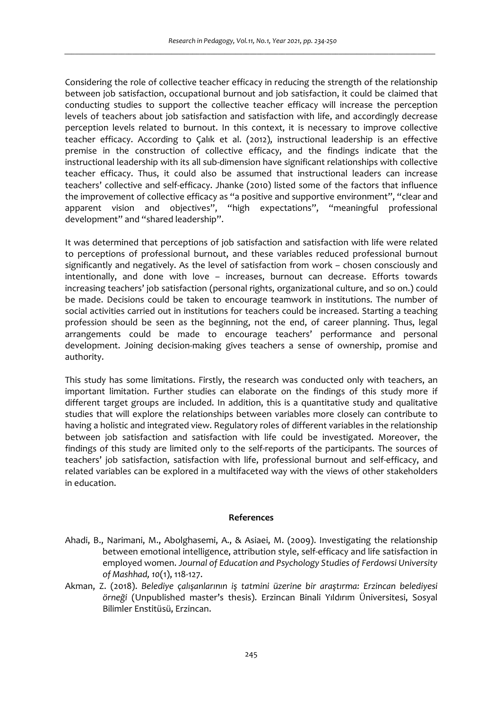Considering the role of collective teacher efficacy in reducing the strength of the relationship between job satisfaction, occupational burnout and job satisfaction, it could be claimed that conducting studies to support the collective teacher efficacy will increase the perception levels of teachers about job satisfaction and satisfaction with life, and accordingly decrease perception levels related to burnout. In this context, it is necessary to improve collective teacher efficacy. According to Çalık et al. (2012), instructional leadership is an effective premise in the construction of collective efficacy, and the findings indicate that the instructional leadership with its all sub-dimension have significant relationships with collective teacher efficacy. Thus, it could also be assumed that instructional leaders can increase teachers' collective and self-efficacy. Jhanke (2010) listed some of the factors that influence the improvement of collective efficacy as "a positive and supportive environment", "clear and apparent vision and objectives", "high expectations", "meaningful professional development" and "shared leadership".

It was determined that perceptions of job satisfaction and satisfaction with life were related to perceptions of professional burnout, and these variables reduced professional burnout significantly and negatively. As the level of satisfaction from work – chosen consciously and intentionally, and done with love – increases, burnout can decrease. Efforts towards increasing teachers' job satisfaction (personal rights, organizational culture, and so on.) could be made. Decisions could be taken to encourage teamwork in institutions. The number of social activities carried out in institutions for teachers could be increased. Starting a teaching profession should be seen as the beginning, not the end, of career planning. Thus, legal arrangements could be made to encourage teachers' performance and personal development. Joining decision-making gives teachers a sense of ownership, promise and authority.

This study has some limitations. Firstly, the research was conducted only with teachers, an important limitation. Further studies can elaborate on the findings of this study more if different target groups are included. In addition, this is a quantitative study and qualitative studies that will explore the relationships between variables more closely can contribute to having a holistic and integrated view. Regulatory roles of different variables in the relationship between job satisfaction and satisfaction with life could be investigated. Moreover, the findings of this study are limited only to the self-reports of the participants. The sources of teachers' job satisfaction, satisfaction with life, professional burnout and self-efficacy, and related variables can be explored in a multifaceted way with the views of other stakeholders in education.

#### **References**

- Ahadi, B., Narimani, M., Abolghasemi, A., & Asiaei, M. (2009). Investigating the relationship between emotional intelligence, attribution style, self-efficacy and life satisfaction in employed women. *Journal of Education and Psychology Studies of Ferdowsi University of Mashhad, 10*(1), 118-127.
- Akman, Z. (2018). *Belediye çalışanlarının iş tatmini üzerine bir araştırma: Erzincan belediyesi örneği* (Unpublished master's thesis). Erzincan Binali Yıldırım Üniversitesi, Sosyal Bilimler Enstitüsü, Erzincan.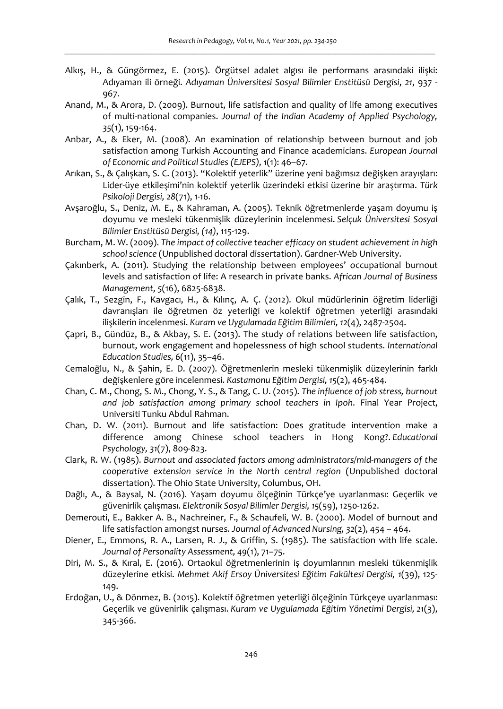- Alkış, H., & Güngörmez, E. (2015). Örgütsel adalet algısı ile performans arasındaki ilişki: Adıyaman ili örneği. *Adıyaman Üniversitesi Sosyal Bilimler Enstitüsü Dergisi*, *21*, 937 - 967.
- Anand, M., & Arora, D. (2009). Burnout, life satisfaction and quality of life among executives of multi-national companies. *Journal of the Indian Academy of Applied Psychology, 35*(1), 159-164.
- Anbar, A., & Eker, M. (2008). An examination of relationship between burnout and job satisfaction among Turkish Accounting and Finance academicians. *European Journal of Economic and Political Studies (EJEPS), 1*(1): 46–67.
- Arıkan, S., & Çalışkan, S. C. (2013). "Kolektif yeterlik" üzerine yeni bağımsız değişken arayışları: Lider-üye etkileşimi'nin kolektif yeterlik üzerindeki etkisi üzerine bir araştırma. *Türk Psikoloji Dergisi, 28*(71), 1-16.
- Avşaroğlu, S., Deniz, M. E., & Kahraman, A. (2005). Teknik öğretmenlerde yaşam doyumu iş doyumu ve mesleki tükenmişlik düzeylerinin incelenmesi. *Selçuk Üniversitesi Sosyal Bilimler Enstitüsü Dergisi, (14)*, 115-129.
- Burcham, M. W. (2009). *The impact of collective teacher efficacy on student achievement in high school science* (Unpublished doctoral dissertation). Gardner-Web University.
- Çakınberk, A. (2011). Studying the relationship between employees' occupational burnout levels and satisfaction of life: A research in private banks. *African Journal of Business Management, 5*(16), 6825-6838.
- Çalık, T., Sezgin, F., Kavgacı, H., & Kılınç, A. Ç. (2012). Okul müdürlerinin öğretim liderliği davranışları ile öğretmen öz yeterliği ve kolektif öğretmen yeterliği arasındaki ilişkilerin incelenmesi. *Kuram ve Uygulamada Eğitim Bilimleri, 12*(4), 2487-2504.
- Çapri, B., Gündüz, B., & Akbay, S. E. (2013). The study of relations between life satisfaction, burnout, work engagement and hopelessness of high school students. *International Education Studies, 6*(11), 35–46.
- Cemaloğlu, N., & Şahin, E. D. (2007). Öğretmenlerin mesleki tükenmişlik düzeylerinin farklı değişkenlere göre incelenmesi. *Kastamonu Eğitim Dergisi, 15*(2), 465-484.
- Chan, C. M., Chong, S. M., Chong, Y. S., & Tang, C. U. (2015). *The influence of job stress, burnout and job satisfaction among primary school teachers in Ipoh*. Final Year Project, Universiti Tunku Abdul Rahman.
- Chan, D. W. (2011). Burnout and life satisfaction: Does gratitude intervention make a difference among Chinese school teachers in Hong Kong?. *Educational Psychology, 31*(7), 809-823.
- Clark, R. W. (1985). *Burnout and associated factors among administrators/mid-managers of the cooperative extension service in the North central region* (Unpublished doctoral dissertation). The Ohio State University, Columbus, OH.
- Dağlı, A., & Baysal, N. (2016). Yaşam doyumu ölçeğinin Türkçe'ye uyarlanması: Geçerlik ve güvenirlik çalışması. *Elektronik Sosyal Bilimler Dergisi, 15*(59), 1250-1262.
- Demerouti, E., Bakker A. B., Nachreiner, F., & Schaufeli, W. B. (2000). Model of burnout and life satisfaction amongst nurses. *Journal of Advanced Nursing, 32*(2), 454 – 464.
- Diener, E., Emmons, R. A., Larsen, R. J., & Griffin, S. (1985). The satisfaction with life scale. *Journal of Personality Assessment, 49*(1), 71–75.
- Diri, M. S., & Kıral, E. (2016). Ortaokul öğretmenlerinin iş doyumlarının mesleki tükenmişlik düzeylerine etkisi. *Mehmet Akif Ersoy Üniversitesi Eğitim Fakültesi Dergisi, 1*(39), 125- 149.
- Erdoğan, U., & Dönmez, B. (2015). Kolektif öğretmen yeterliği ölçeğinin Türkçeye uyarlanması: Geçerlik ve güvenirlik çalışması. *Kuram ve Uygulamada Eğitim Yönetimi Dergisi, 21*(3), 345-366.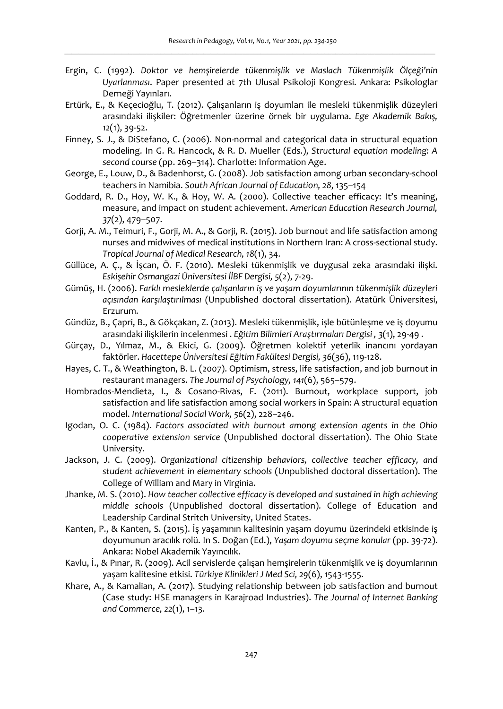- Ergin, C. (1992). *Doktor ve hemşirelerde tükenmişlik ve Maslach Tükenmişlik Ölçeği'nin Uyarlanması*. Paper presented at 7th Ulusal Psikoloji Kongresi. Ankara: Psikologlar Derneği Yayınları.
- Ertürk, E., & Keçecioğlu, T. (2012). Çalışanların iş doyumları ile mesleki tükenmişlik düzeyleri arasındaki ilişkiler: Öğretmenler üzerine örnek bir uygulama. *Ege Akademik Bakış, 12*(1), 39-52.
- Finney, S. J., & DiStefano, C. (2006). Non-normal and categorical data in structural equation modeling. In G. R. Hancock, & R. D. Mueller (Eds.), *Structural equation modeling: A second course* (pp. 269–314). Charlotte: Information Age.
- George, E., Louw, D., & Badenhorst, G. (2008). Job satisfaction among urban secondary-school teachers in Namibia. *South African Journal of Education, 28*, 135–154
- Goddard, R. D., Hoy, W. K., & Hoy, W. A. (2000). Collective teacher efficacy: It's meaning, measure, and impact on student achievement. *American Education Research Journal, 37*(2), 479–507.
- Gorji, A. M., Teimuri, F., Gorji, M. A., & Gorji, R. (2015). Job burnout and life satisfaction among nurses and midwives of medical institutions in Northern Iran: A cross-sectional study. *Tropical Journal of Medical Research, 18*(1), 34.
- Güllüce, A. Ç., & İşcan, Ö. F. (2010). Mesleki tükenmişlik ve duygusal zeka arasındaki ilişki. *Eskişehir Osmangazi Üniversitesi İİBF Dergisi, 5*(2), 7-29.
- Gümüş, H. (2006). *Farklı mesleklerde çalışanların iş ve yaşam doyumlarının tükenmişlik düzeyleri açısından karşılaştırılması* (Unpublished doctoral dissertation). Atatürk Üniversitesi, Erzurum.
- Gündüz, B., Çapri, B., & Gökçakan, Z. (2013). Mesleki tükenmişlik, işle bütünleşme ve iş doyumu arasındaki ilişkilerin incelenmesi . *Eğitim Bilimleri Araştırmaları Dergisi , 3*(1), 29-49 .
- Gürçay, D., Yılmaz, M., & Ekici, G. (2009). Öğretmen kolektif yeterlik inancını yordayan faktörler. *Hacettepe Üniversitesi Eğitim Fakültesi Dergisi, 36*(36), 119-128.
- Hayes, C. T., & Weathington, B. L. (2007). Optimism, stress, life satisfaction, and job burnout in restaurant managers. *The Journal of Psychology, 141*(6), 565–579.
- Hombrados-Mendieta, I., & Cosano-Rivas, F. (2011). Burnout, workplace support, job satisfaction and life satisfaction among social workers in Spain: A structural equation model. *International Social Work, 56*(2), 228–246.
- Igodan, O. C. (1984). *Factors associated with burnout among extension agents in the Ohio cooperative extension service* (Unpublished doctoral dissertation). The Ohio State University.
- Jackson, J. C. (2009). *Organizational citizenship behaviors, collective teacher efficacy, and student achievement in elementary schools* (Unpublished doctoral dissertation). The College of William and Mary in Virginia.
- Jhanke, M. S. (2010). *How teacher collective efficacy is developed and sustained in high achieving middle schools* (Unpublished doctoral dissertation). College of Education and Leadership Cardinal Stritch University, United States.
- Kanten, P., & Kanten, S. (2015). İş yaşamının kalitesinin yaşam doyumu üzerindeki etkisinde iş doyumunun aracılık rolü. In S. Doğan (Ed.), *Yaşam doyumu seçme konular* (pp. 39-72). Ankara: Nobel Akademik Yayıncılık.
- Kavlu, İ., & Pınar, R. (2009). Acil servislerde çalışan hemşirelerin tükenmişlik ve iş doyumlarının yaşam kalitesine etkisi. *Türkiye Klinikleri J Med Sci, 29*(6), 1543-1555.
- Khare, A., & Kamalian, A. (2017). Studying relationship between job satisfaction and burnout (Case study: HSE managers in Karajroad Industries). *The Journal of Internet Banking and Commerce, 22*(1), 1–13.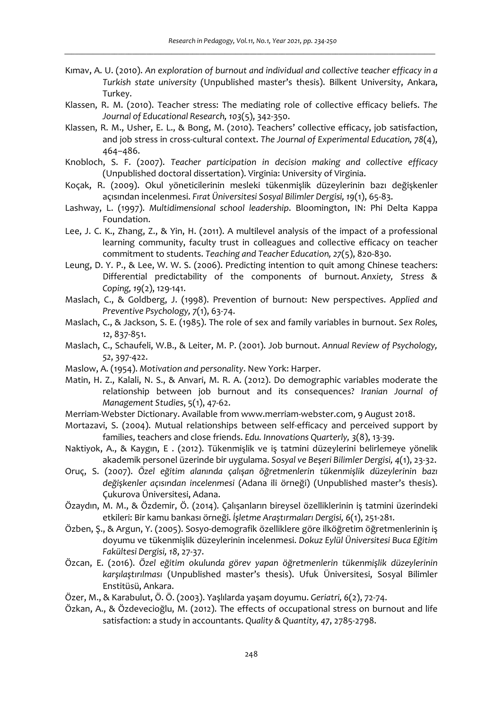- Kımav, A. U. (2010). *An exploration of burnout and individual and collective teacher efficacy in a Turkish state university* (Unpublished master's thesis). Bilkent University, Ankara, Turkey.
- Klassen, R. M. (2010). Teacher stress: The mediating role of collective efficacy beliefs. *The Journal of Educational Research, 103*(5), 342-350.
- Klassen, R. M., Usher, E. L., & Bong, M. (2010). Teachers' collective efficacy, job satisfaction, and job stress in cross-cultural context. *The Journal of Experimental Education, 78*(4), 464–486.
- Knobloch, S. F. (2007). *Teacher participation in decision making and collective efficacy* (Unpublished doctoral dissertation). Virginia: University of Virginia.
- Koçak, R. (2009). Okul yöneticilerinin mesleki tükenmişlik düzeylerinin bazı değişkenler açısından incelenmesi. *Fırat Üniversitesi Sosyal Bilimler Dergisi, 19*(1), 65-83.
- Lashway, L. (1997). *Multidimensional school leadership*. Bloomington, IN: Phi Delta Kappa Foundation.
- Lee, J. C. K., Zhang, Z., & Yin, H. (2011). A multilevel analysis of the impact of a professional learning community, faculty trust in colleagues and collective efficacy on teacher commitment to students. *Teaching and Teacher Education, 27*(5), 820-830.
- Leung, D. Y. P., & Lee, W. W. S. (2006). Predicting intention to quit among Chinese teachers: Differential predictability of the components of burnout. *Anxiety, Stress & Coping, 19*(2), 129-141.
- Maslach, C., & Goldberg, J. (1998). Prevention of burnout: New perspectives. *Applied and Preventive Psychology, 7*(1), 63-74.
- Maslach, C., & Jackson, S. E. (1985). The role of sex and family variables in burnout. *Sex Roles, 12*, 837-851.
- Maslach, C., Schaufeli, W.B., & Leiter, M. P. (2001). Job burnout. *Annual Review of Psychology, 52*, 397-422.
- Maslow, A. (1954). *Motivation and personality*. New York: Harper.
- Matin, H. Z., Kalali, N. S., & Anvari, M. R. A. (2012). Do demographic variables moderate the relationship between job burnout and its consequences? *Iranian Journal of Management Studies*, 5(1), 47-62.
- Merriam-Webster Dictionary. Available from www.merriam-webster.com, 9 August 2018.
- Mortazavi, S. (2004). Mutual relationships between self-efficacy and perceived support by families, teachers and close friends. *Edu. Innovations Quarterly, 3*(8), 13-39.
- Naktiyok, A., & Kaygın, E . (2012). Tükenmişlik ve iş tatmini düzeylerini belirlemeye yönelik akademik personel üzerinde bir uygulama. *Sosyal ve Beşeri Bilimler Dergisi, 4*(1), 23-32.
- Oruç, S. (2007). *Özel eğitim alanında çalışan öğretmenlerin tükenmişlik düzeylerinin bazı değişkenler açısından incelenmesi* (Adana ili örneği) (Unpublished master's thesis). Çukurova Üniversitesi, Adana.
- Özaydın, M. M., & Özdemir, Ö. (2014). Çalışanların bireysel özelliklerinin iş tatmini üzerindeki etkileri: Bir kamu bankası örneği. *İşletme Araştırmaları Dergisi, 6*(1), 251-281.
- Özben, Ş., & Argun, Y. (2005). Sosyo-demografik özelliklere göre ilköğretim öğretmenlerinin iş doyumu ve tükenmişlik düzeylerinin incelenmesi. *Dokuz Eylül Üniversitesi Buca Eğitim Fakültesi Dergisi, 18*, 27-37.
- Özcan, E. (2016). *Özel eğitim okulunda görev yapan öğretmenlerin tükenmişlik düzeylerinin karşılaştırılması* (Unpublished master's thesis). Ufuk Üniversitesi, Sosyal Bilimler Enstitüsü, Ankara.
- Özer, M., & Karabulut, Ö. Ö. (2003). Yaşlılarda yaşam doyumu. *Geriatri, 6*(2), 72-74.
- Özkan, A., & Özdevecioğlu, M. (2012). The effects of occupational stress on burnout and life satisfaction: a study in accountants. *Quality & Quantity, 47*, 2785-2798.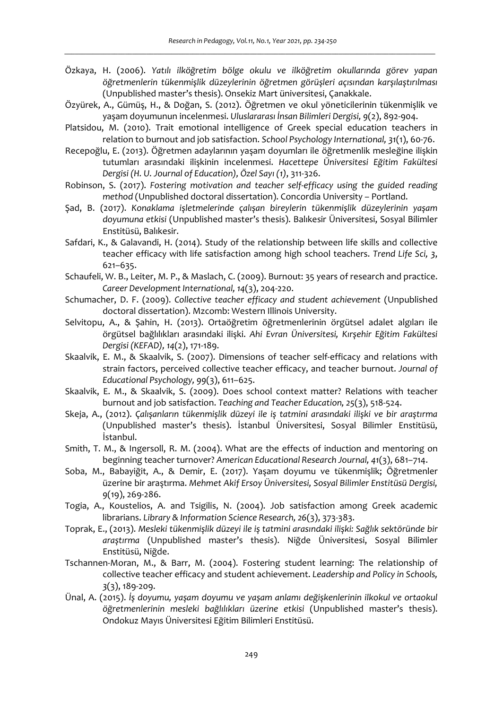- Özkaya, H. (2006). *Yatılı ilköğretim bölge okulu ve ilköğretim okullarında görev yapan öğretmenlerin tükenmişlik düzeylerinin öğretmen görüşleri açısından karşılaştırılması* (Unpublished master's thesis). Onsekiz Mart üniversitesi, Çanakkale.
- Özyürek, A., Gümüş, H., & Doğan, S. (2012). Öğretmen ve okul yöneticilerinin tükenmişlik ve yaşam doyumunun incelenmesi. *Uluslararası İnsan Bilimleri Dergisi, 9*(2), 892-904.
- Platsidou, M. (2010). Trait emotional intelligence of Greek special education teachers in relation to burnout and job satisfaction. *School Psychology International, 31*(1), 60-76.
- Recepoğlu, E. (2013). Öğretmen adaylarının yaşam doyumları ile öğretmenlik mesleğine ilişkin tutumları arasındaki ilişkinin incelenmesi. *Hacettepe Üniversitesi Eğitim Fakültesi Dergisi (H. U. Journal of Education), Özel Sayı (1)*, 311-326.
- Robinson, S. (2017). *Fostering motivation and teacher self-efficacy using the guided reading method* (Unpublished doctoral dissertation). Concordia University – Portland.
- Şad, B. (2017). *Konaklama işletmelerinde çalışan bireylerin tükenmişlik düzeylerinin yaşam doyumuna etkisi* (Unpublished master's thesis). Balıkesir Üniversitesi, Sosyal Bilimler Enstitüsü, Balıkesir.
- Safdari, K., & Galavandi, H. (2014). Study of the relationship between life skills and collective teacher efficacy with life satisfaction among high school teachers. *Trend Life Sci, 3*, 621–635.
- Schaufeli, W. B., Leiter, M. P., & Maslach, C. (2009). Burnout: 35 years of research and practice. *Career Development International, 14*(3), 204-220.
- Schumacher, D. F. (2009). *Collective teacher efficacy and student achievement* (Unpublished doctoral dissertation). Mzcomb: Western Illinois University.
- Selvitopu, A., & Şahin, H. (2013). Ortaöğretim öğretmenlerinin örgütsel adalet algıları ile örgütsel bağlılıkları arasındaki ilişki. *Ahi Evran Üniversitesi, Kırşehir Eğitim Fakültesi Dergisi (KEFAD), 14*(2), 171-189.
- Skaalvik, E. M., & Skaalvik, S. (2007). Dimensions of teacher self-efficacy and relations with strain factors, perceived collective teacher efficacy, and teacher burnout. *Journal of Educational Psychology, 99*(3), 611–625.
- Skaalvik, E. M., & Skaalvik, S. (2009). Does school context matter? Relations with teacher burnout and job satisfaction. *Teaching and Teacher Education, 25*(3), 518-524.
- Skeja, A., (2012). *Çalışanların tükenmişlik düzeyi ile iş tatmini arasındaki ilişki ve bir araştırma* (Unpublished master's thesis). İstanbul Üniversitesi, Sosyal Bilimler Enstitüsü, İstanbul.
- Smith, T. M., & Ingersoll, R. M. (2004). What are the effects of induction and mentoring on beginning teacher turnover? *American Educational Research Journal, 41*(3), 681–714.
- Soba, M., Babayiğit, A., & Demir, E. (2017). Yaşam doyumu ve tükenmişlik; Öğretmenler üzerine bir araştırma. *Mehmet Akif Ersoy Üniversitesi, Sosyal Bilimler Enstitüsü Dergisi, 9*(19), 269-286.
- Togia, A., Koustelios, A. and Tsigilis, N. (2004). Job satisfaction among Greek academic librarians. *Library & Information Science Research, 26*(3), 373-383.
- Toprak, E., (2013). *Mesleki tükenmişlik düzeyi ile iş tatmini arasındaki ilişki: Sağlık sektöründe bir araştırma* (Unpublished master's thesis). Niğde Üniversitesi, Sosyal Bilimler Enstitüsü, Niğde.
- Tschannen-Moran, M., & Barr, M. (2004). Fostering student learning: The relationship of collective teacher efficacy and student achievement. *Leadership and Policy in Schools, 3*(3), 189-209.
- Ünal, A. (2015). *İş doyumu, yaşam doyumu ve yaşam anlamı değişkenlerinin ilkokul ve ortaokul öğretmenlerinin mesleki bağlılıkları üzerine etkisi* (Unpublished master's thesis). Ondokuz Mayıs Üniversitesi Eğitim Bilimleri Enstitüsü.